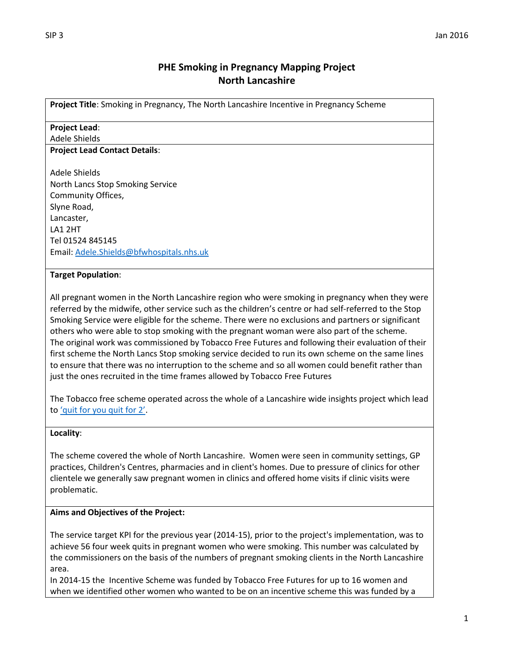# **PHE Smoking in Pregnancy Mapping Project North Lancashire**

**Project Title**: Smoking in Pregnancy, The North Lancashire Incentive in Pregnancy Scheme

#### **Project Lead**:

#### Adele Shields

#### **Project Lead Contact Details**:

Adele Shields North Lancs Stop Smoking Service Community Offices, Slyne Road, Lancaster, LA1 2HT Tel 01524 845145 Email[: Adele.Shields@bfwhospitals.nhs.uk](mailto:Adele.Shields@bfwhospitals.nhs.uk)

## **Target Population**:

All pregnant women in the North Lancashire region who were smoking in pregnancy when they were referred by the midwife, other service such as the children's centre or had self-referred to the Stop Smoking Service were eligible for the scheme. There were no exclusions and partners or significant others who were able to stop smoking with the pregnant woman were also part of the scheme. The original work was commissioned by Tobacco Free Futures and following their evaluation of their first scheme the North Lancs Stop smoking service decided to run its own scheme on the same lines to ensure that there was no interruption to the scheme and so all women could benefit rather than just the ones recruited in the time frames allowed by Tobacco Free Futures

The Tobacco free scheme operated across the whole of a Lancashire wide insights project which lead to ['quit for you quit for 2'](http://quitfortwo.co.uk/).

## **Locality**:

The scheme covered the whole of North Lancashire. Women were seen in community settings, GP practices, Children's Centres, pharmacies and in client's homes. Due to pressure of clinics for other clientele we generally saw pregnant women in clinics and offered home visits if clinic visits were problematic.

## **Aims and Objectives of the Project:**

The service target KPI for the previous year (2014-15), prior to the project's implementation, was to achieve 56 four week quits in pregnant women who were smoking. This number was calculated by the commissioners on the basis of the numbers of pregnant smoking clients in the North Lancashire area.

In 2014-15 the Incentive Scheme was funded by Tobacco Free Futures for up to 16 women and when we identified other women who wanted to be on an incentive scheme this was funded by a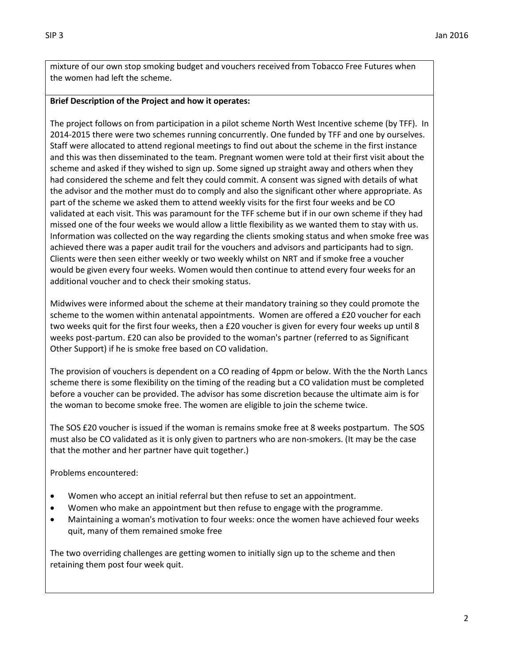mixture of our own stop smoking budget and vouchers received from Tobacco Free Futures when the women had left the scheme.

## **Brief Description of the Project and how it operates:**

The project follows on from participation in a pilot scheme North West Incentive scheme (by TFF). In 2014-2015 there were two schemes running concurrently. One funded by TFF and one by ourselves. Staff were allocated to attend regional meetings to find out about the scheme in the first instance and this was then disseminated to the team. Pregnant women were told at their first visit about the scheme and asked if they wished to sign up. Some signed up straight away and others when they had considered the scheme and felt they could commit. A consent was signed with details of what the advisor and the mother must do to comply and also the significant other where appropriate. As part of the scheme we asked them to attend weekly visits for the first four weeks and be CO validated at each visit. This was paramount for the TFF scheme but if in our own scheme if they had missed one of the four weeks we would allow a little flexibility as we wanted them to stay with us. Information was collected on the way regarding the clients smoking status and when smoke free was achieved there was a paper audit trail for the vouchers and advisors and participants had to sign. Clients were then seen either weekly or two weekly whilst on NRT and if smoke free a voucher would be given every four weeks. Women would then continue to attend every four weeks for an additional voucher and to check their smoking status.

Midwives were informed about the scheme at their mandatory training so they could promote the scheme to the women within antenatal appointments. Women are offered a £20 voucher for each two weeks quit for the first four weeks, then a £20 voucher is given for every four weeks up until 8 weeks post-partum. £20 can also be provided to the woman's partner (referred to as Significant Other Support) if he is smoke free based on CO validation.

The provision of vouchers is dependent on a CO reading of 4ppm or below. With the the North Lancs scheme there is some flexibility on the timing of the reading but a CO validation must be completed before a voucher can be provided. The advisor has some discretion because the ultimate aim is for the woman to become smoke free. The women are eligible to join the scheme twice.

The SOS £20 voucher is issued if the woman is remains smoke free at 8 weeks postpartum. The SOS must also be CO validated as it is only given to partners who are non-smokers. (It may be the case that the mother and her partner have quit together.)

Problems encountered:

- Women who accept an initial referral but then refuse to set an appointment.
- Women who make an appointment but then refuse to engage with the programme.
- Maintaining a woman's motivation to four weeks: once the women have achieved four weeks quit, many of them remained smoke free

The two overriding challenges are getting women to initially sign up to the scheme and then retaining them post four week quit.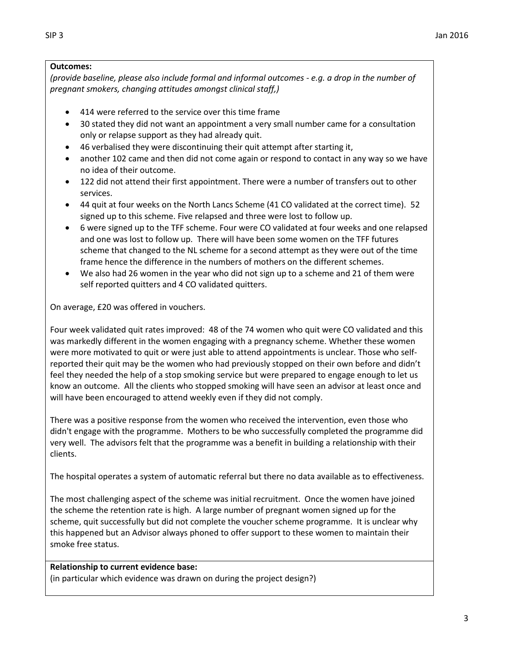## **Outcomes:**

*(provide baseline, please also include formal and informal outcomes - e.g. a drop in the number of pregnant smokers, changing attitudes amongst clinical staff,)*

- 414 were referred to the service over this time frame
- 30 stated they did not want an appointment a very small number came for a consultation only or relapse support as they had already quit.
- 46 verbalised they were discontinuing their quit attempt after starting it,
- another 102 came and then did not come again or respond to contact in any way so we have no idea of their outcome.
- 122 did not attend their first appointment. There were a number of transfers out to other services.
- 44 quit at four weeks on the North Lancs Scheme (41 CO validated at the correct time). 52 signed up to this scheme. Five relapsed and three were lost to follow up.
- 6 were signed up to the TFF scheme. Four were CO validated at four weeks and one relapsed and one was lost to follow up. There will have been some women on the TFF futures scheme that changed to the NL scheme for a second attempt as they were out of the time frame hence the difference in the numbers of mothers on the different schemes.
- We also had 26 women in the year who did not sign up to a scheme and 21 of them were self reported quitters and 4 CO validated quitters.

On average, £20 was offered in vouchers.

Four week validated quit rates improved: 48 of the 74 women who quit were CO validated and this was markedly different in the women engaging with a pregnancy scheme. Whether these women were more motivated to quit or were just able to attend appointments is unclear. Those who selfreported their quit may be the women who had previously stopped on their own before and didn't feel they needed the help of a stop smoking service but were prepared to engage enough to let us know an outcome. All the clients who stopped smoking will have seen an advisor at least once and will have been encouraged to attend weekly even if they did not comply.

There was a positive response from the women who received the intervention, even those who didn't engage with the programme. Mothers to be who successfully completed the programme did very well. The advisors felt that the programme was a benefit in building a relationship with their clients.

The hospital operates a system of automatic referral but there no data available as to effectiveness.

The most challenging aspect of the scheme was initial recruitment. Once the women have joined the scheme the retention rate is high. A large number of pregnant women signed up for the scheme, quit successfully but did not complete the voucher scheme programme. It is unclear why this happened but an Advisor always phoned to offer support to these women to maintain their smoke free status.

# **Relationship to current evidence base:**

(in particular which evidence was drawn on during the project design?)